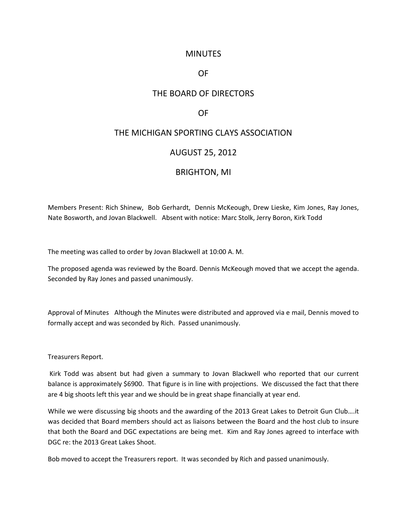## **MINUTES**

## OF

# THE BOARD OF DIRECTORS

## OF

# THE MICHIGAN SPORTING CLAYS ASSOCIATION

## AUGUST 25, 2012

#### BRIGHTON, MI

Members Present: Rich Shinew, Bob Gerhardt, Dennis McKeough, Drew Lieske, Kim Jones, Ray Jones, Nate Bosworth, and Jovan Blackwell. Absent with notice: Marc Stolk, Jerry Boron, Kirk Todd

The meeting was called to order by Jovan Blackwell at 10:00 A. M.

The proposed agenda was reviewed by the Board. Dennis McKeough moved that we accept the agenda. Seconded by Ray Jones and passed unanimously.

Approval of Minutes Although the Minutes were distributed and approved via e mail, Dennis moved to formally accept and was seconded by Rich. Passed unanimously.

Treasurers Report.

Kirk Todd was absent but had given a summary to Jovan Blackwell who reported that our current balance is approximately \$6900. That figure is in line with projections. We discussed the fact that there are 4 big shoots left this year and we should be in great shape financially at year end.

While we were discussing big shoots and the awarding of the 2013 Great Lakes to Detroit Gun Club….it was decided that Board members should act as liaisons between the Board and the host club to insure that both the Board and DGC expectations are being met. Kim and Ray Jones agreed to interface with DGC re: the 2013 Great Lakes Shoot.

Bob moved to accept the Treasurers report. It was seconded by Rich and passed unanimously.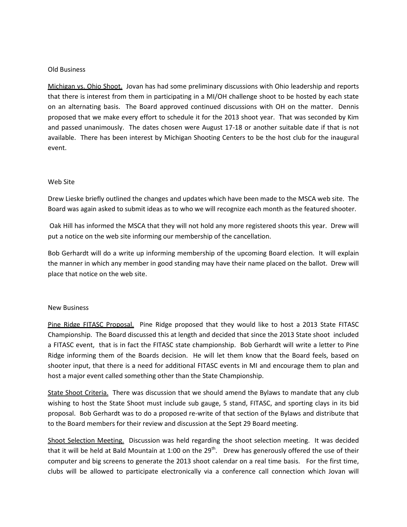#### Old Business

Michigan vs. Ohio Shoot. Jovan has had some preliminary discussions with Ohio leadership and reports that there is interest from them in participating in a MI/OH challenge shoot to be hosted by each state on an alternating basis. The Board approved continued discussions with OH on the matter. Dennis proposed that we make every effort to schedule it for the 2013 shoot year. That was seconded by Kim and passed unanimously. The dates chosen were August 17-18 or another suitable date if that is not available. There has been interest by Michigan Shooting Centers to be the host club for the inaugural event.

#### Web Site

Drew Lieske briefly outlined the changes and updates which have been made to the MSCA web site. The Board was again asked to submit ideas as to who we will recognize each month as the featured shooter.

Oak Hill has informed the MSCA that they will not hold any more registered shoots this year. Drew will put a notice on the web site informing our membership of the cancellation.

Bob Gerhardt will do a write up informing membership of the upcoming Board election. It will explain the manner in which any member in good standing may have their name placed on the ballot. Drew will place that notice on the web site.

#### New Business

Pine Ridge FITASC Proposal. Pine Ridge proposed that they would like to host a 2013 State FITASC Championship. The Board discussed this at length and decided that since the 2013 State shoot included a FITASC event, that is in fact the FITASC state championship. Bob Gerhardt will write a letter to Pine Ridge informing them of the Boards decision. He will let them know that the Board feels, based on shooter input, that there is a need for additional FITASC events in MI and encourage them to plan and host a major event called something other than the State Championship.

State Shoot Criteria. There was discussion that we should amend the Bylaws to mandate that any club wishing to host the State Shoot must include sub gauge, 5 stand, FITASC, and sporting clays in its bid proposal. Bob Gerhardt was to do a proposed re-write of that section of the Bylaws and distribute that to the Board members for their review and discussion at the Sept 29 Board meeting.

Shoot Selection Meeting. Discussion was held regarding the shoot selection meeting. It was decided that it will be held at Bald Mountain at 1:00 on the  $29<sup>th</sup>$ . Drew has generously offered the use of their computer and big screens to generate the 2013 shoot calendar on a real time basis. For the first time, clubs will be allowed to participate electronically via a conference call connection which Jovan will